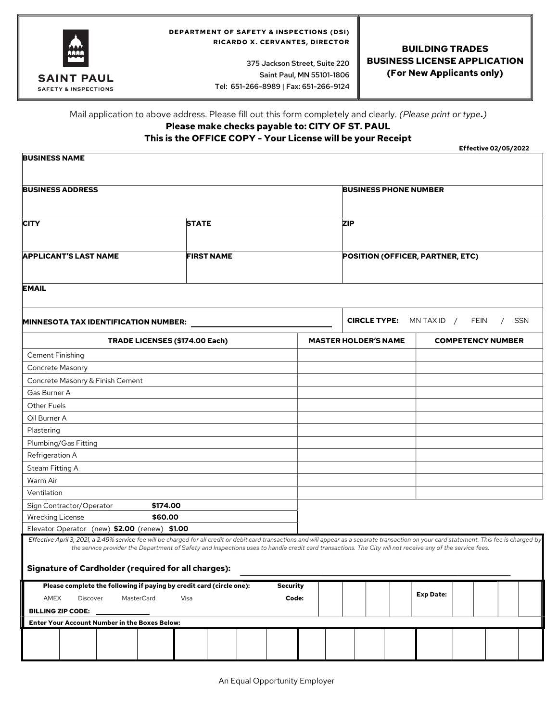

#### DEPARTMENT OF SAFETY & INSPECTIONS (DSI) RICARDO X. CERVANTES, DIRECTOR

 375 Jackson Street, Suite 220 Saint Paul, MN 55101-1806 Tel: 651-266-8989 | Fax: 651-266-9124

## BUILDING TRADES BUSINESS LICENSE APPLICATION (For New Applicants only)

# Mail application to above address. Please fill out this form completely and clearly. (Please print or type.)

# Please make checks payable to: CITY OF ST. PAUL

## This is the OFFICE COPY - Your License will be your Receipt

Effective 02/05/2022

| <b>BUSINESS ADDRESS</b>                                                                                                                                                                                                                                                                                                                                                                                                                                              |          |                   |                 |       | <b>BUSINESS PHONE NUMBER</b>                                           |                                  |  |                          |  |  |  |  |
|----------------------------------------------------------------------------------------------------------------------------------------------------------------------------------------------------------------------------------------------------------------------------------------------------------------------------------------------------------------------------------------------------------------------------------------------------------------------|----------|-------------------|-----------------|-------|------------------------------------------------------------------------|----------------------------------|--|--------------------------|--|--|--|--|
|                                                                                                                                                                                                                                                                                                                                                                                                                                                                      |          |                   |                 |       |                                                                        |                                  |  |                          |  |  |  |  |
| <b>CITY</b><br><b>STATE</b>                                                                                                                                                                                                                                                                                                                                                                                                                                          |          |                   |                 |       | <b>ZIP</b>                                                             |                                  |  |                          |  |  |  |  |
|                                                                                                                                                                                                                                                                                                                                                                                                                                                                      |          |                   |                 |       |                                                                        |                                  |  |                          |  |  |  |  |
| <b>APPLICANT'S LAST NAME</b>                                                                                                                                                                                                                                                                                                                                                                                                                                         |          | <b>FIRST NAME</b> |                 |       |                                                                        | POSITION (OFFICER, PARTNER, ETC) |  |                          |  |  |  |  |
| <b>EMAIL</b>                                                                                                                                                                                                                                                                                                                                                                                                                                                         |          |                   |                 |       |                                                                        |                                  |  |                          |  |  |  |  |
| <b>MINNESOTA TAX IDENTIFICATION NUMBER:</b>                                                                                                                                                                                                                                                                                                                                                                                                                          |          |                   |                 |       | <b>SSN</b><br><b>CIRCLE TYPE:</b><br>MN TAX ID $/$<br>FEIN<br>$\prime$ |                                  |  |                          |  |  |  |  |
| <b>TRADE LICENSES (\$174.00 Each)</b>                                                                                                                                                                                                                                                                                                                                                                                                                                |          |                   |                 |       | <b>MASTER HOLDER'S NAME</b>                                            |                                  |  | <b>COMPETENCY NUMBER</b> |  |  |  |  |
| Cement Finishing                                                                                                                                                                                                                                                                                                                                                                                                                                                     |          |                   |                 |       |                                                                        |                                  |  |                          |  |  |  |  |
| Concrete Masonry                                                                                                                                                                                                                                                                                                                                                                                                                                                     |          |                   |                 |       |                                                                        |                                  |  |                          |  |  |  |  |
| Concrete Masonry & Finish Cement                                                                                                                                                                                                                                                                                                                                                                                                                                     |          |                   |                 |       |                                                                        |                                  |  |                          |  |  |  |  |
| Gas Burner A                                                                                                                                                                                                                                                                                                                                                                                                                                                         |          |                   |                 |       |                                                                        |                                  |  |                          |  |  |  |  |
| Other Fuels                                                                                                                                                                                                                                                                                                                                                                                                                                                          |          |                   |                 |       |                                                                        |                                  |  |                          |  |  |  |  |
| Oil Burner A                                                                                                                                                                                                                                                                                                                                                                                                                                                         |          |                   |                 |       |                                                                        |                                  |  |                          |  |  |  |  |
| Plastering                                                                                                                                                                                                                                                                                                                                                                                                                                                           |          |                   |                 |       |                                                                        |                                  |  |                          |  |  |  |  |
| Plumbing/Gas Fitting                                                                                                                                                                                                                                                                                                                                                                                                                                                 |          |                   |                 |       |                                                                        |                                  |  |                          |  |  |  |  |
| Refrigeration A                                                                                                                                                                                                                                                                                                                                                                                                                                                      |          |                   |                 |       |                                                                        |                                  |  |                          |  |  |  |  |
| Steam Fitting A                                                                                                                                                                                                                                                                                                                                                                                                                                                      |          |                   |                 |       |                                                                        |                                  |  |                          |  |  |  |  |
| Warm Air                                                                                                                                                                                                                                                                                                                                                                                                                                                             |          |                   |                 |       |                                                                        |                                  |  |                          |  |  |  |  |
| Ventilation                                                                                                                                                                                                                                                                                                                                                                                                                                                          |          |                   |                 |       |                                                                        |                                  |  |                          |  |  |  |  |
| Sign Contractor/Operator                                                                                                                                                                                                                                                                                                                                                                                                                                             | \$174.00 |                   |                 |       |                                                                        |                                  |  |                          |  |  |  |  |
| <b>Wrecking License</b>                                                                                                                                                                                                                                                                                                                                                                                                                                              | \$60.00  |                   |                 |       |                                                                        |                                  |  |                          |  |  |  |  |
| Elevator Operator (new) \$2.00 (renew) \$1.00<br>Effective April 3, 2021, a 2.49% service fee will be charged for all credit or debit card transactions and will appear as a separate transaction on your card statement. This fee is charged by<br>the service provider the Department of Safety and Inspections uses to handle credit card transactions. The City will not receive any of the service fees.<br>Signature of Cardholder (required for all charges): |          |                   |                 |       |                                                                        |                                  |  |                          |  |  |  |  |
| Please complete the following if paying by credit card (circle one):                                                                                                                                                                                                                                                                                                                                                                                                 |          |                   | <b>Security</b> |       |                                                                        |                                  |  |                          |  |  |  |  |
| AMEX<br>Discover<br>MasterCard                                                                                                                                                                                                                                                                                                                                                                                                                                       | Visa     |                   |                 | Code: |                                                                        |                                  |  | <b>Exp Date:</b>         |  |  |  |  |
|                                                                                                                                                                                                                                                                                                                                                                                                                                                                      |          |                   |                 |       |                                                                        |                                  |  |                          |  |  |  |  |
| <b>BILLING ZIP CODE:</b>                                                                                                                                                                                                                                                                                                                                                                                                                                             |          |                   |                 |       |                                                                        |                                  |  |                          |  |  |  |  |